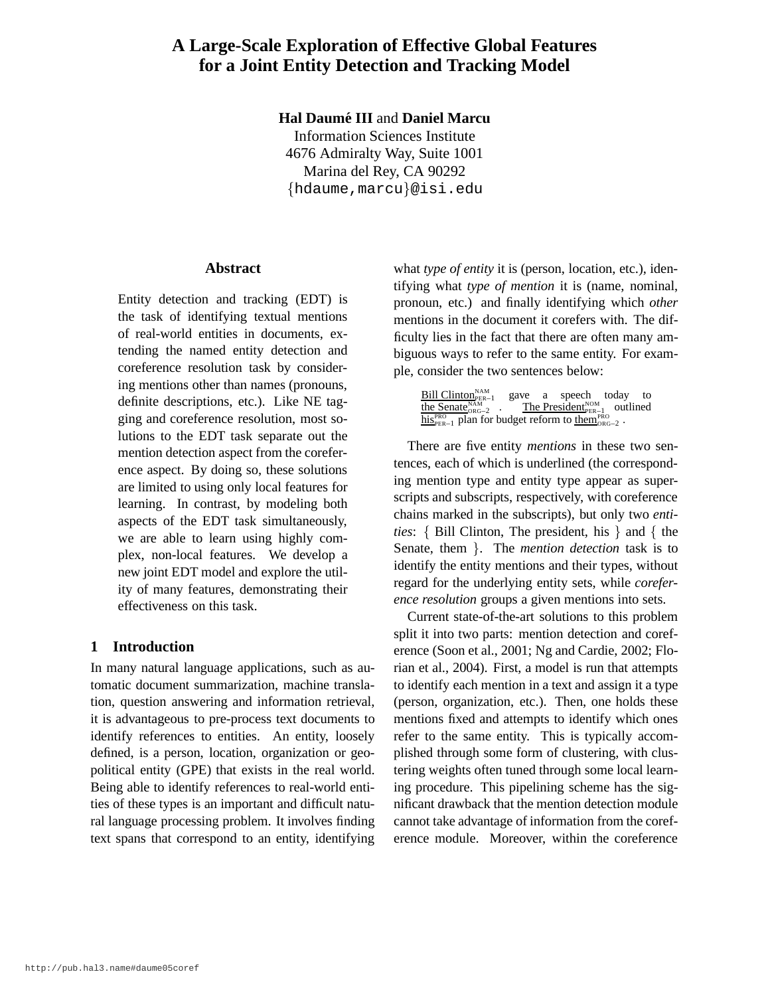# **A Large-Scale Exploration of Effective Global Features for a Joint Entity Detection and Tracking Model**

**Hal Daume´ III** and **Daniel Marcu**

Information Sciences Institute 4676 Admiralty Way, Suite 1001 Marina del Rey, CA 90292 {hdaume,marcu}@isi.edu

#### **Abstract**

Entity detection and tracking (EDT) is the task of identifying textual mentions of real-world entities in documents, extending the named entity detection and coreference resolution task by considering mentions other than names (pronouns, definite descriptions, etc.). Like NE tagging and coreference resolution, most solutions to the EDT task separate out the mention detection aspect from the coreference aspect. By doing so, these solutions are limited to using only local features for learning. In contrast, by modeling both aspects of the EDT task simultaneously, we are able to learn using highly complex, non-local features. We develop a new joint EDT model and explore the utility of many features, demonstrating their effectiveness on this task.

# **1 Introduction**

In many natural language applications, such as automatic document summarization, machine translation, question answering and information retrieval, it is advantageous to pre-process text documents to identify references to entities. An entity, loosely defined, is a person, location, organization or geopolitical entity (GPE) that exists in the real world. Being able to identify references to real-world entities of these types is an important and difficult natural language processing problem. It involves finding text spans that correspond to an entity, identifying what *type of entity* it is (person, location, etc.), identifying what *type of mention* it is (name, nominal, pronoun, etc.) and finally identifying which *other* mentions in the document it corefers with. The difficulty lies in the fact that there are often many ambiguous ways to refer to the same entity. For example, consider the two sentences below:

Bill Clinton<sub>PER</sub> gave a speech today to the Senate<sup>NAM</sup><sub>ORG-2</sub> The President<sup>NOM</sup> outlined  $\underline{\text{his}}_{\text{PER}-1}^{\text{PRO}}$  plan for budget reform to  $\underline{\text{them}}_{\text{ORG}-2}^{\text{PRO}}$ .

There are five entity *mentions* in these two sentences, each of which is underlined (the corresponding mention type and entity type appear as superscripts and subscripts, respectively, with coreference chains marked in the subscripts), but only two *entities*: { Bill Clinton, The president, his } and { the Senate, them }. The *mention detection* task is to identify the entity mentions and their types, without regard for the underlying entity sets, while *coreference resolution* groups a given mentions into sets.

Current state-of-the-art solutions to this problem split it into two parts: mention detection and coreference (Soon et al., 2001; Ng and Cardie, 2002; Florian et al., 2004). First, a model is run that attempts to identify each mention in a text and assign it a type (person, organization, etc.). Then, one holds these mentions fixed and attempts to identify which ones refer to the same entity. This is typically accomplished through some form of clustering, with clustering weights often tuned through some local learning procedure. This pipelining scheme has the significant drawback that the mention detection module cannot take advantage of information from the coreference module. Moreover, within the coreference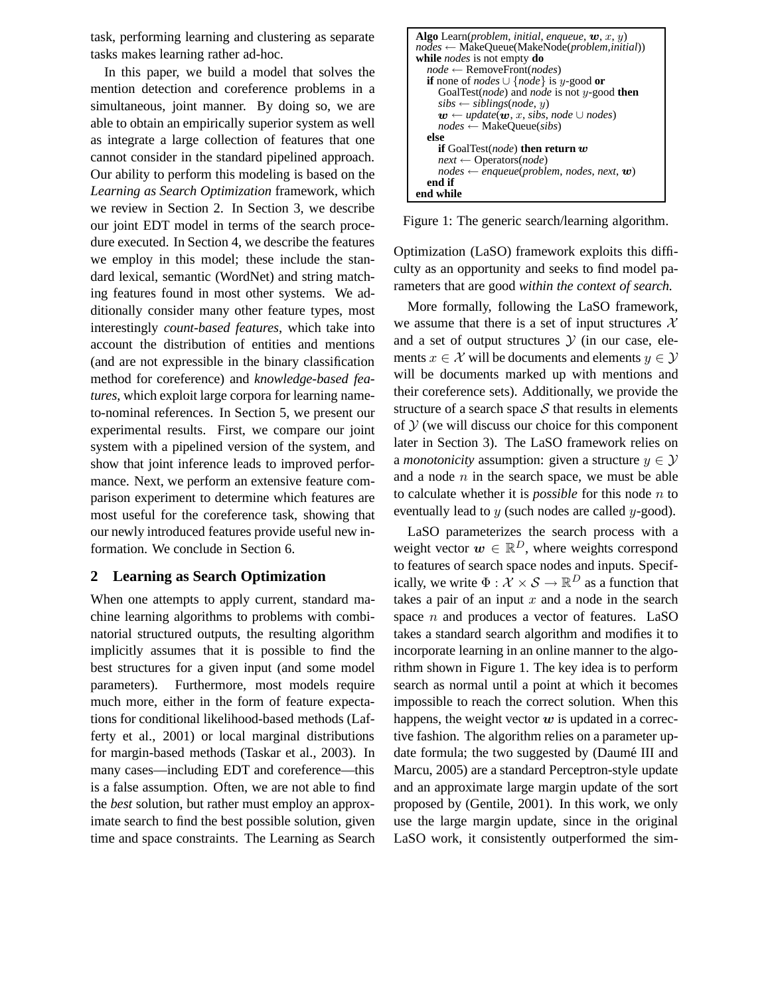task, performing learning and clustering as separate tasks makes learning rather ad-hoc.

In this paper, we build a model that solves the mention detection and coreference problems in a simultaneous, joint manner. By doing so, we are able to obtain an empirically superior system as well as integrate a large collection of features that one cannot consider in the standard pipelined approach. Our ability to perform this modeling is based on the *Learning as Search Optimization* framework, which we review in Section 2. In Section 3, we describe our joint EDT model in terms of the search procedure executed. In Section 4, we describe the features we employ in this model; these include the standard lexical, semantic (WordNet) and string matching features found in most other systems. We additionally consider many other feature types, most interestingly *count-based features*, which take into account the distribution of entities and mentions (and are not expressible in the binary classification method for coreference) and *knowledge-based features*, which exploit large corpora for learning nameto-nominal references. In Section 5, we present our experimental results. First, we compare our joint system with a pipelined version of the system, and show that joint inference leads to improved performance. Next, we perform an extensive feature comparison experiment to determine which features are most useful for the coreference task, showing that our newly introduced features provide useful new information. We conclude in Section 6.

# **2 Learning as Search Optimization**

When one attempts to apply current, standard machine learning algorithms to problems with combinatorial structured outputs, the resulting algorithm implicitly assumes that it is possible to find the best structures for a given input (and some model parameters). Furthermore, most models require much more, either in the form of feature expectations for conditional likelihood-based methods (Lafferty et al., 2001) or local marginal distributions for margin-based methods (Taskar et al., 2003). In many cases—including EDT and coreference—this is a false assumption. Often, we are not able to find the *best* solution, but rather must employ an approximate search to find the best possible solution, given time and space constraints. The Learning as Search

```
Algo Learn(problem, initial, enqueue, \boldsymbol{w}, x, y)
nodes ← MakeQueue(MakeNode(problem,initial))
while nodes is not empty do
  node ← RemoveFront(nodes)
  if none of nodes ∪ {node} is y-good or
     GoalTest(node) and node is not y-good then
     sibs \leftarrow sibling(node, y)\boldsymbol{w} \leftarrow \textit{update}(\boldsymbol{w}, x, \textit{sibs}, \textit{node} \cup \textit{nodes})nodes ← MakeQueue(sibs)
  else
     if GoalTest(node) then return 
     next ← Operators(node)
     nodes ← enqueue(problem, nodes, next, 
)
  end if
end while
```
Figure 1: The generic search/learning algorithm.

Optimization (LaSO) framework exploits this difficulty as an opportunity and seeks to find model parameters that are good *within the context of search.*

More formally, following the LaSO framework, we assume that there is a set of input structures  $X$ and a set of output structures  $\mathcal Y$  (in our case, elements  $x \in \mathcal{X}$  will be documents and elements  $y \in \mathcal{Y}$ will be documents marked up with mentions and their coreference sets). Additionally, we provide the structure of a search space  $S$  that results in elements of  $\mathcal Y$  (we will discuss our choice for this component later in Section 3). The LaSO framework relies on a *monotonicity* assumption: given a structure  $y \in \mathcal{Y}$ and a node  $n$  in the search space, we must be able to calculate whether it is *possible* for this node n to eventually lead to  $y$  (such nodes are called  $y$ -good).

LaSO parameterizes the search process with a weight vector  $w \in \mathbb{R}^D$ , where weights correspond to features of search space nodes and inputs. Specifically, we write  $\Phi : \mathcal{X} \times \mathcal{S} \to \mathbb{R}^D$  as a function that takes a pair of an input  $x$  and a node in the search space  $n$  and produces a vector of features. LaSO takes a standard search algorithm and modifies it to incorporate learning in an online manner to the algorithm shown in Figure 1. The key idea is to perform search as normal until a point at which it becomes impossible to reach the correct solution. When this happens, the weight vector  $w$  is updated in a corrective fashion. The algorithm relies on a parameter update formula; the two suggested by (Daumé III and Marcu, 2005) are a standard Perceptron-style update and an approximate large margin update of the sort proposed by (Gentile, 2001). In this work, we only use the large margin update, since in the original LaSO work, it consistently outperformed the sim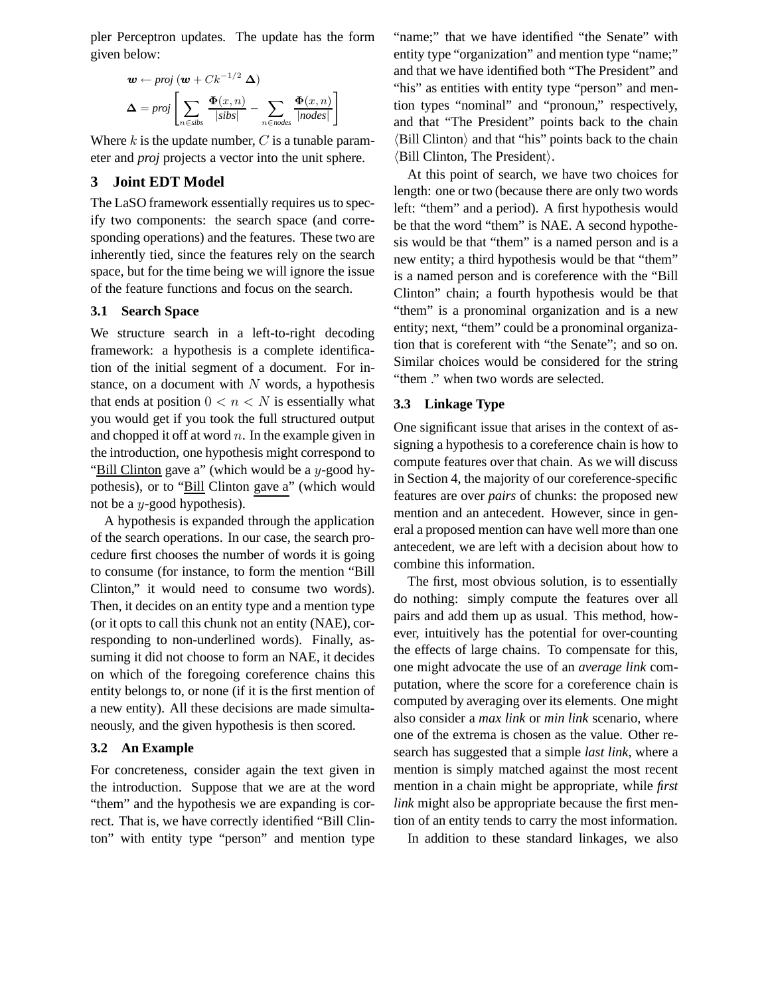pler Perceptron updates. The update has the form given below:

$$
\mathbf{w} \leftarrow proj \left( \mathbf{w} + Ck^{-1/2} \Delta \right)
$$

$$
\Delta = proj \left[ \sum_{n \in sibs} \frac{\Phi(x, n)}{|sibs|} - \sum_{n \in nodes} \frac{\Phi(x, n)}{|nodes|} \right]
$$

Where  $k$  is the update number,  $C$  is a tunable parameter and *proj* projects a vector into the unit sphere.

#### **3 Joint EDT Model**

The LaSO framework essentially requires us to specify two components: the search space (and corresponding operations) and the features. These two are inherently tied, since the features rely on the search space, but for the time being we will ignore the issue of the feature functions and focus on the search.

#### **3.1 Search Space**

We structure search in a left-to-right decoding framework: a hypothesis is a complete identification of the initial segment of a document. For instance, on a document with  $N$  words, a hypothesis that ends at position  $0 < n < N$  is essentially what you would get if you took the full structured output and chopped it off at word  $n$ . In the example given in the introduction, one hypothesis might correspond to "Bill Clinton gave a" (which would be a y-good hypothesis), or to "Bill Clinton gave a" (which would not be a y-good hypothesis).

A hypothesis is expanded through the application of the search operations. In our case, the search procedure first chooses the number of words it is going to consume (for instance, to form the mention "Bill Clinton," it would need to consume two words). Then, it decides on an entity type and a mention type (or it opts to call this chunk not an entity (NAE), corresponding to non-underlined words). Finally, assuming it did not choose to form an NAE, it decides on which of the foregoing coreference chains this entity belongs to, or none (if it is the first mention of a new entity). All these decisions are made simultaneously, and the given hypothesis is then scored.

# **3.2 An Example**

For concreteness, consider again the text given in the introduction. Suppose that we are at the word "them" and the hypothesis we are expanding is correct. That is, we have correctly identified "Bill Clinton" with entity type "person" and mention type

 $\left[ -\sum_{n=1}^{\infty} \frac{\Phi(x,n)}{n!} \right]$  tion types "nominal" and "pronoun," respectively, "name;" that we have identified "the Senate" with entity type "organization" and mention type "name;" and that we have identified both "The President" and "his" as entities with entity type "person" and menand that "The President" points back to the chain  $\Delta$ Bill Clinton) and that "his" points back to the chain  $\langle$ Bill Clinton, The President $\rangle$ .

> At this point of search, we have two choices for length: one or two (because there are only two words left: "them" and a period). A first hypothesis would be that the word "them" is NAE. A second hypothesis would be that "them" is a named person and is a new entity; a third hypothesis would be that "them" is a named person and is coreference with the "Bill Clinton" chain; a fourth hypothesis would be that "them" is a pronominal organization and is a new entity; next, "them" could be a pronominal organization that is coreferent with "the Senate"; and so on. Similar choices would be considered for the string "them ." when two words are selected.

# **3.3 Linkage Type**

One significant issue that arises in the context of assigning a hypothesis to a coreference chain is how to compute features over that chain. As we will discuss in Section 4, the majority of our coreference-specific features are over *pairs* of chunks: the proposed new mention and an antecedent. However, since in general a proposed mention can have well more than one antecedent, we are left with a decision about how to combine this information.

The first, most obvious solution, is to essentially do nothing: simply compute the features over all pairs and add them up as usual. This method, however, intuitively has the potential for over-counting the effects of large chains. To compensate for this, one might advocate the use of an *average link* computation, where the score for a coreference chain is computed by averaging over its elements. One might also consider a *max link* or *min link* scenario, where one of the extrema is chosen as the value. Other research has suggested that a simple *last link*, where a mention is simply matched against the most recent mention in a chain might be appropriate, while *first link* might also be appropriate because the first mention of an entity tends to carry the most information.

In addition to these standard linkages, we also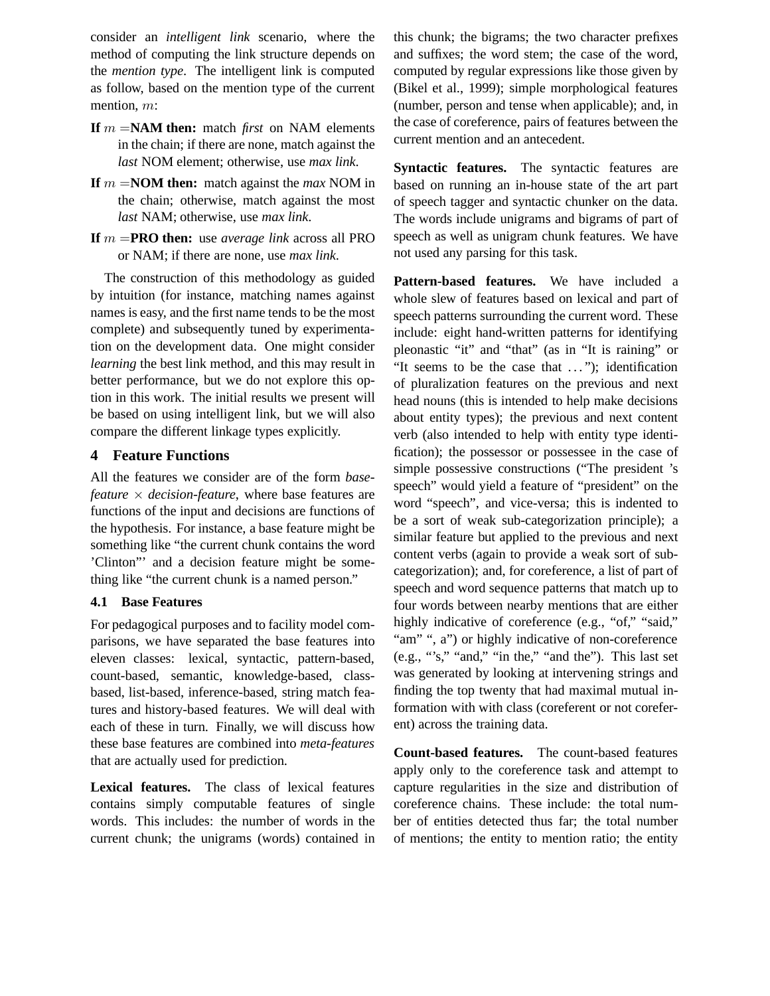consider an *intelligent link* scenario, where the method of computing the link structure depends on the *mention type*. The intelligent link is computed as follow, based on the mention type of the current mention, m:

- **If**  $m = NAM$  **then:** match *first* on NAM elements in the chain; if there are none, match against the *last* NOM element; otherwise, use *max link*.
- **If** m =**NOM then:** match against the *max* NOM in the chain; otherwise, match against the most *last* NAM; otherwise, use *max link*.
- **If** m =**PRO then:** use *average link* across all PRO or NAM; if there are none, use *max link*.

The construction of this methodology as guided by intuition (for instance, matching names against names is easy, and the first name tends to be the most complete) and subsequently tuned by experimentation on the development data. One might consider *learning* the best link method, and this may result in better performance, but we do not explore this option in this work. The initial results we present will be based on using intelligent link, but we will also compare the different linkage types explicitly.

# **4 Feature Functions**

All the features we consider are of the form *basefeature* × *decision-feature*, where base features are functions of the input and decisions are functions of the hypothesis. For instance, a base feature might be something like "the current chunk contains the word 'Clinton"' and a decision feature might be something like "the current chunk is a named person."

# **4.1 Base Features**

For pedagogical purposes and to facility model comparisons, we have separated the base features into eleven classes: lexical, syntactic, pattern-based, count-based, semantic, knowledge-based, classbased, list-based, inference-based, string match features and history-based features. We will deal with each of these in turn. Finally, we will discuss how these base features are combined into *meta-features* that are actually used for prediction.

**Lexical features.** The class of lexical features contains simply computable features of single words. This includes: the number of words in the current chunk; the unigrams (words) contained in this chunk; the bigrams; the two character prefixes and suffixes; the word stem; the case of the word, computed by regular expressions like those given by (Bikel et al., 1999); simple morphological features (number, person and tense when applicable); and, in the case of coreference, pairs of features between the current mention and an antecedent.

**Syntactic features.** The syntactic features are based on running an in-house state of the art part of speech tagger and syntactic chunker on the data. The words include unigrams and bigrams of part of speech as well as unigram chunk features. We have not used any parsing for this task.

**Pattern-based features.** We have included a whole slew of features based on lexical and part of speech patterns surrounding the current word. These include: eight hand-written patterns for identifying pleonastic "it" and "that" (as in "It is raining" or "It seems to be the case that ..."); identification of pluralization features on the previous and next head nouns (this is intended to help make decisions about entity types); the previous and next content verb (also intended to help with entity type identification); the possessor or possessee in the case of simple possessive constructions ("The president 's speech" would yield a feature of "president" on the word "speech", and vice-versa; this is indented to be a sort of weak sub-categorization principle); a similar feature but applied to the previous and next content verbs (again to provide a weak sort of subcategorization); and, for coreference, a list of part of speech and word sequence patterns that match up to four words between nearby mentions that are either highly indicative of coreference (e.g., "of," "said," "am" ", a") or highly indicative of non-coreference (e.g., "'s," "and," "in the," "and the"). This last set was generated by looking at intervening strings and finding the top twenty that had maximal mutual information with with class (coreferent or not coreferent) across the training data.

**Count-based features.** The count-based features apply only to the coreference task and attempt to capture regularities in the size and distribution of coreference chains. These include: the total number of entities detected thus far; the total number of mentions; the entity to mention ratio; the entity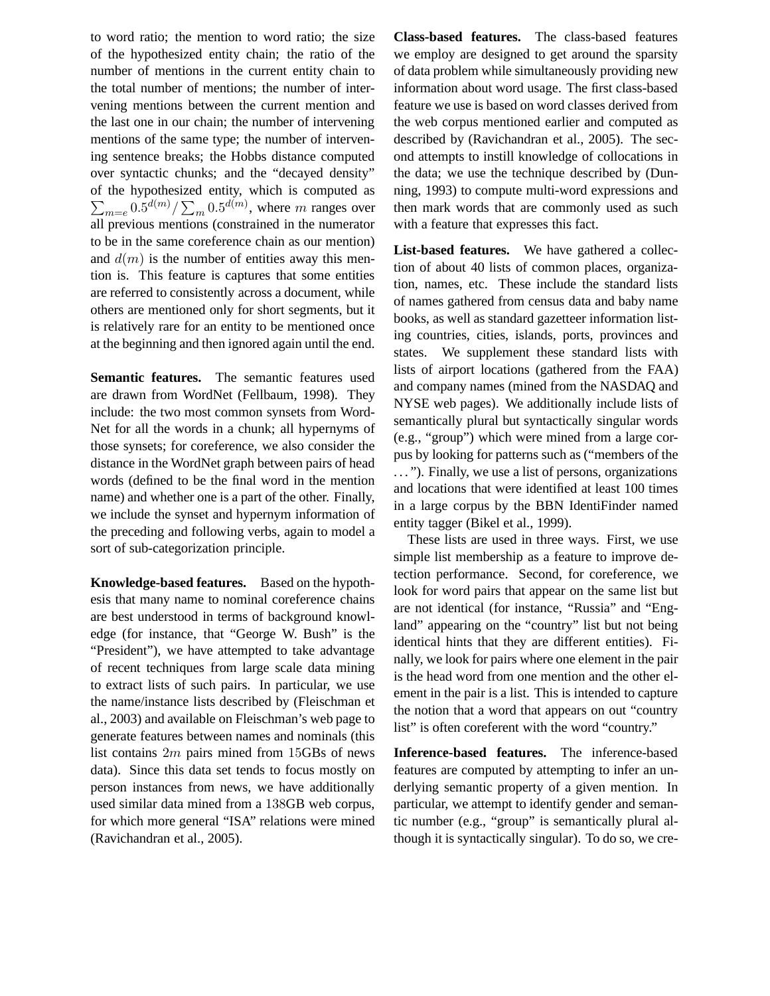to word ratio; the mention to word ratio; the size of the hypothesized entity chain; the ratio of the number of mentions in the current entity chain to the total number of mentions; the number of intervening mentions between the current mention and the last one in our chain; the number of intervening mentions of the same type; the number of intervening sentence breaks; the Hobbs distance computed over syntactic chunks; and the "decayed density" of the hypothesized entity, which is computed as  $\sum_{m=e} 0.5^{d(m)}/\sum_m 0.5^{d(m)}$ , where m ranges over all previous mentions (constrained in the numerator to be in the same coreference chain as our mention) and  $d(m)$  is the number of entities away this mention is. This feature is captures that some entities are referred to consistently across a document, while others are mentioned only for short segments, but it is relatively rare for an entity to be mentioned once at the beginning and then ignored again until the end.

**Semantic features.** The semantic features used are drawn from WordNet (Fellbaum, 1998). They include: the two most common synsets from Word-Net for all the words in a chunk; all hypernyms of those synsets; for coreference, we also consider the distance in the WordNet graph between pairs of head words (defined to be the final word in the mention name) and whether one is a part of the other. Finally, we include the synset and hypernym information of the preceding and following verbs, again to model a sort of sub-categorization principle.

**Knowledge-based features.** Based on the hypothesis that many name to nominal coreference chains are best understood in terms of background knowledge (for instance, that "George W. Bush" is the "President"), we have attempted to take advantage of recent techniques from large scale data mining to extract lists of such pairs. In particular, we use the name/instance lists described by (Fleischman et al., 2003) and available on Fleischman's web page to generate features between names and nominals (this list contains 2m pairs mined from 15GBs of news data). Since this data set tends to focus mostly on person instances from news, we have additionally used similar data mined from a 138GB web corpus, for which more general "ISA" relations were mined (Ravichandran et al., 2005).

**Class-based features.** The class-based features we employ are designed to get around the sparsity of data problem while simultaneously providing new information about word usage. The first class-based feature we use is based on word classes derived from the web corpus mentioned earlier and computed as described by (Ravichandran et al., 2005). The second attempts to instill knowledge of collocations in the data; we use the technique described by (Dunning, 1993) to compute multi-word expressions and then mark words that are commonly used as such with a feature that expresses this fact.

**List-based features.** We have gathered a collection of about 40 lists of common places, organization, names, etc. These include the standard lists of names gathered from census data and baby name books, as well as standard gazetteer information listing countries, cities, islands, ports, provinces and states. We supplement these standard lists with lists of airport locations (gathered from the FAA) and company names (mined from the NASDAQ and NYSE web pages). We additionally include lists of semantically plural but syntactically singular words (e.g., "group") which were mined from a large corpus by looking for patterns such as ("members of the . . . "). Finally, we use a list of persons, organizations and locations that were identified at least 100 times in a large corpus by the BBN IdentiFinder named entity tagger (Bikel et al., 1999).

These lists are used in three ways. First, we use simple list membership as a feature to improve detection performance. Second, for coreference, we look for word pairs that appear on the same list but are not identical (for instance, "Russia" and "England" appearing on the "country" list but not being identical hints that they are different entities). Finally, we look for pairs where one element in the pair is the head word from one mention and the other element in the pair is a list. This is intended to capture the notion that a word that appears on out "country list" is often coreferent with the word "country."

**Inference-based features.** The inference-based features are computed by attempting to infer an underlying semantic property of a given mention. In particular, we attempt to identify gender and semantic number (e.g., "group" is semantically plural although it is syntactically singular). To do so, we cre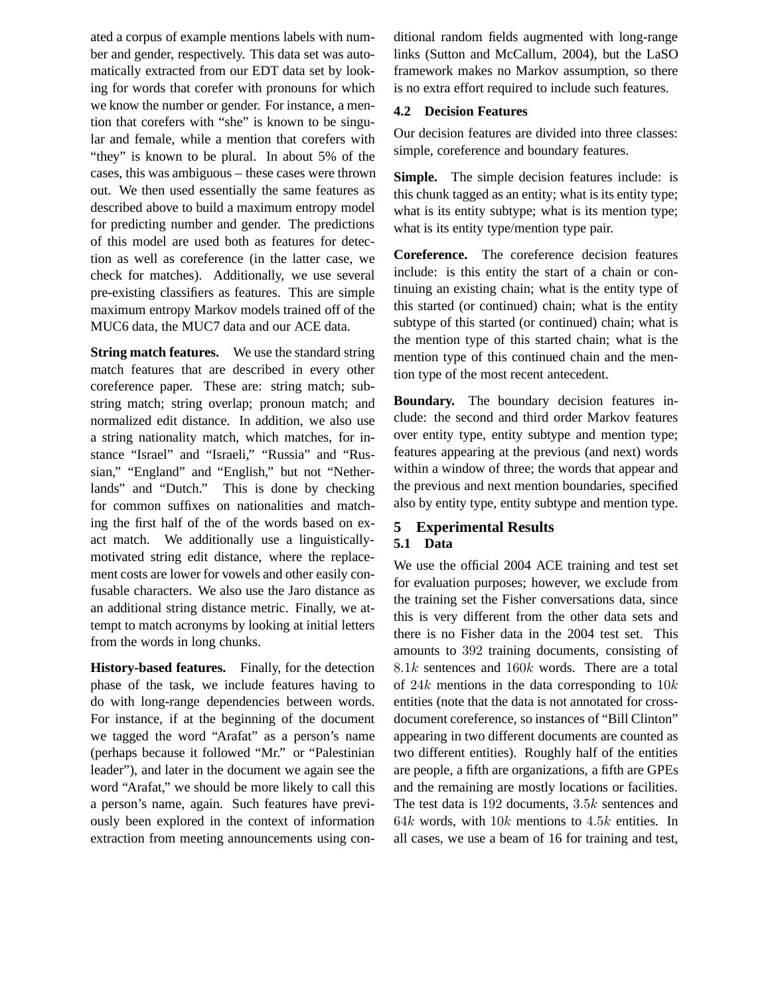ated a corpus of example mentions labels with number and gender, respectively. This data set was automatically extracted from our EDT data set by looking for words that corefer with pronouns for which we know the number or gender. For instance, a mention that corefers with "she" is known to be singular and female, while a mention that corefers with "they" is known to be plural. In about 5% of the cases, this was ambiguous – these cases were thrown out. We then used essentially the same features as described above to build a maximum entropy model for predicting number and gender. The predictions of this model are used both as features for detection as well as coreference (in the latter case, we check for matches). Additionally, we use several pre-existing classifiers as features. This are simple maximum entropy Markov models trained off of the MUC6 data, the MUC7 data and our ACE data.

**String match features.** We use the standard string match features that are described in every other coreference paper. These are: string match; substring match; string overlap; pronoun match; and normalized edit distance. In addition, we also use a string nationality match, which matches, for instance "Israel" and "Israeli," "Russia" and "Russian," "England" and "English," but not "Netherlands" and "Dutch." This is done by checking for common suffixes on nationalities and matching the first half of the of the words based on exact match. We additionally use a linguisticallymotivated string edit distance, where the replacement costs are lower for vowels and other easily confusable characters. We also use the Jaro distance as an additional string distance metric. Finally, we attempt to match acronyms by looking at initial letters from the words in long chunks.

**History-based features.** Finally, for the detection phase of the task, we include features having to do with long-range dependencies between words. For instance, if at the beginning of the document we tagged the word "Arafat" as a person's name (perhaps because it followed "Mr." or "Palestinian leader"), and later in the document we again see the word "Arafat," we should be more likely to call this a person's name, again. Such features have previously been explored in the context of information extraction from meeting announcements using conditional random fields augmented with long-range links (Sutton and McCallum, 2004), but the LaSO framework makes no Markov assumption, so there is no extra effort required to include such features.

# **4.2 Decision Features**

Our decision features are divided into three classes: simple, coreference and boundary features.

**Simple.** The simple decision features include: is this chunk tagged as an entity; what is its entity type; what is its entity subtype; what is its mention type; what is its entity type/mention type pair.

**Coreference.** The coreference decision features include: is this entity the start of a chain or continuing an existing chain; what is the entity type of this started (or continued) chain; what is the entity subtype of this started (or continued) chain; what is the mention type of this started chain; what is the mention type of this continued chain and the mention type of the most recent antecedent.

**Boundary.** The boundary decision features include: the second and third order Markov features over entity type, entity subtype and mention type; features appearing at the previous (and next) words within a window of three; the words that appear and the previous and next mention boundaries, specified also by entity type, entity subtype and mention type.

# **5 Experimental Results 5.1 Data**

We use the official 2004 ACE training and test set for evaluation purposes; however, we exclude from the training set the Fisher conversations data, since this is very different from the other data sets and there is no Fisher data in the 2004 test set. This amounts to 392 training documents, consisting of  $8.1k$  sentences and  $160k$  words. There are a total of  $24k$  mentions in the data corresponding to  $10k$ entities (note that the data is not annotated for crossdocument coreference, so instances of "Bill Clinton" appearing in two different documents are counted as two different entities). Roughly half of the entities are people, a fifth are organizations, a fifth are GPEs and the remaining are mostly locations or facilities. The test data is 192 documents, 3.5k sentences and  $64k$  words, with  $10k$  mentions to  $4.5k$  entities. In all cases, we use a beam of 16 for training and test,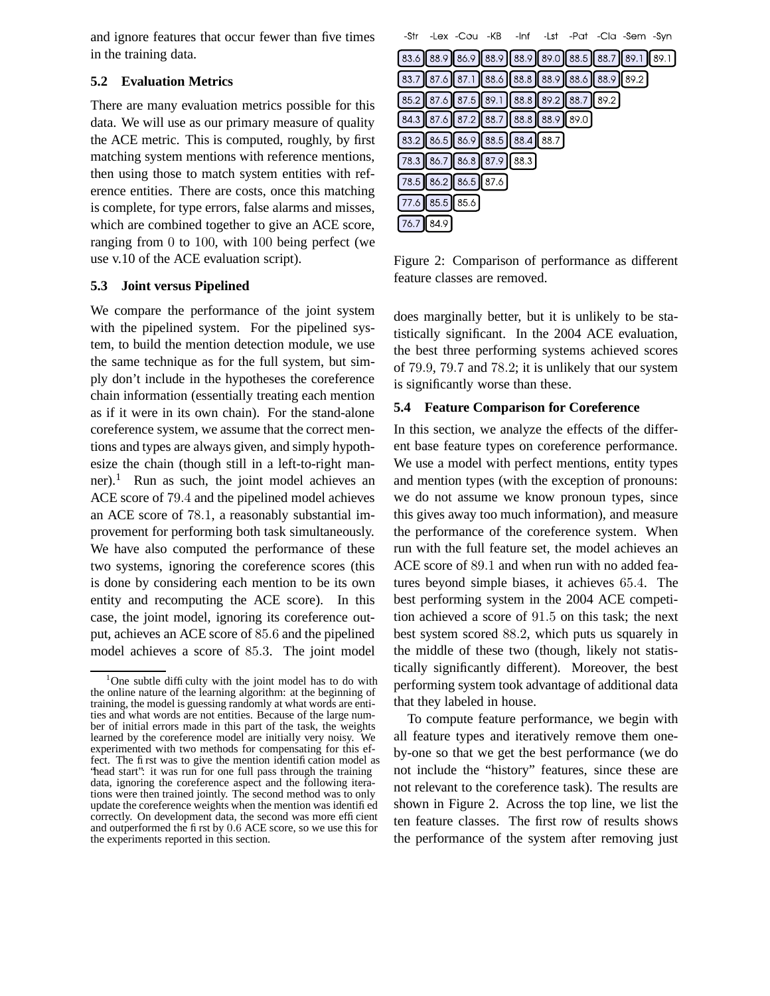and ignore features that occur fewer than five times in the training data.

#### **5.2 Evaluation Metrics**

There are many evaluation metrics possible for this data. We will use as our primary measure of quality the ACE metric. This is computed, roughly, by first matching system mentions with reference mentions, then using those to match system entities with reference entities. There are costs, once this matching is complete, for type errors, false alarms and misses, which are combined together to give an ACE score, ranging from 0 to 100, with 100 being perfect (we use v.10 of the ACE evaluation script).

#### **5.3 Joint versus Pipelined**

We compare the performance of the joint system with the pipelined system. For the pipelined system, to build the mention detection module, we use the same technique as for the full system, but simply don't include in the hypotheses the coreference chain information (essentially treating each mention as if it were in its own chain). For the stand-alone coreference system, we assume that the correct mentions and types are always given, and simply hypothesize the chain (though still in a left-to-right manner). $<sup>1</sup>$  Run as such, the joint model achieves an</sup> ACE score of 79.4 and the pipelined model achieves an ACE score of 78.1, a reasonably substantial improvement for performing both task simultaneously. We have also computed the performance of these two systems, ignoring the coreference scores (this is done by considering each mention to be its own entity and recomputing the ACE score). In this case, the joint model, ignoring its coreference output, achieves an ACE score of 85.6 and the pipelined model achieves a score of 85.3. The joint model

| -Str |               | -Lex Cou -KB -Int -Lst -Pat -Cla -Sem                             |  |  |  | -Svn |
|------|---------------|-------------------------------------------------------------------|--|--|--|------|
|      |               | [83.6][88.9][86.9][88.9][88.9][89.0][88.5][88.7][89.1    89.1     |  |  |  |      |
|      |               | 83.7 87.6 87.1 88.6 88.8 88.9 88.6 88.9 89.2                      |  |  |  |      |
|      |               | [85.2    87.6    87.5    89.1    88.8    89.2    88.7    89.2     |  |  |  |      |
|      |               | $[84.3][87.6][87.2][88.7][88.8][88.9][89.0]$                      |  |  |  |      |
|      |               | $83.2$ 86.5 $\left[ 86.9 \right]$ 88.5 $\left[ 88.4 \right]$ 88.7 |  |  |  |      |
|      |               | [78.3][86.7][86.8][87.9][88.3]                                    |  |  |  |      |
|      |               | $78.5$ $\,86.2$ $\,$ $86.5$ $\,$ $\,87.6$ $\,$                    |  |  |  |      |
|      |               | $77.6$ $\,$ 85.5 $\,$ 85.6                                        |  |  |  |      |
|      | $[76.7]$ 84.9 |                                                                   |  |  |  |      |
|      |               |                                                                   |  |  |  |      |

Figure 2: Comparison of performance as different feature classes are removed.

does marginally better, but it is unlikely to be statistically significant. In the 2004 ACE evaluation, the best three performing systems achieved scores of 79.9, 79.7 and 78.2; it is unlikely that our system is significantly worse than these.

# **5.4 Feature Comparison for Coreference**

In this section, we analyze the effects of the different base feature types on coreference performance. We use a model with perfect mentions, entity types and mention types (with the exception of pronouns: we do not assume we know pronoun types, since this gives away too much information), and measure the performance of the coreference system. When run with the full feature set, the model achieves an ACE score of 89.1 and when run with no added features beyond simple biases, it achieves 65.4. The best performing system in the 2004 ACE competition achieved a score of 91.5 on this task; the next best system scored 88.2, which puts us squarely in the middle of these two (though, likely not statistically significantly different). Moreover, the best performing system took advantage of additional data that they labeled in house.

To compute feature performance, we begin with all feature types and iteratively remove them oneby-one so that we get the best performance (we do not include the "history" features, since these are not relevant to the coreference task). The results are shown in Figure 2. Across the top line, we list the ten feature classes. The first row of results shows the performance of the system after removing just

<sup>&</sup>lt;sup>1</sup>One subtle difficulty with the joint model has to do with the online nature of the learning algorithm: at the beginning of training, the model is guessing randomly at what words are entities and what words are not entities. Because of the large number of initial errors made in this part of the task, the weights learned by the coreference model are initially very noisy. We experimented with two methods for compensating for this effect. The first was to give the mention identification model as "head start": it was run for one full pass through the training data, ignoring the coreference aspect and the following iterations were then trained jointly. The second method was to only update the coreference weights when the mention was identified correctly. On development data, the second was more efficient and outperformed the first by 0.6 ACE score, so we use this for the experiments reported in this section.